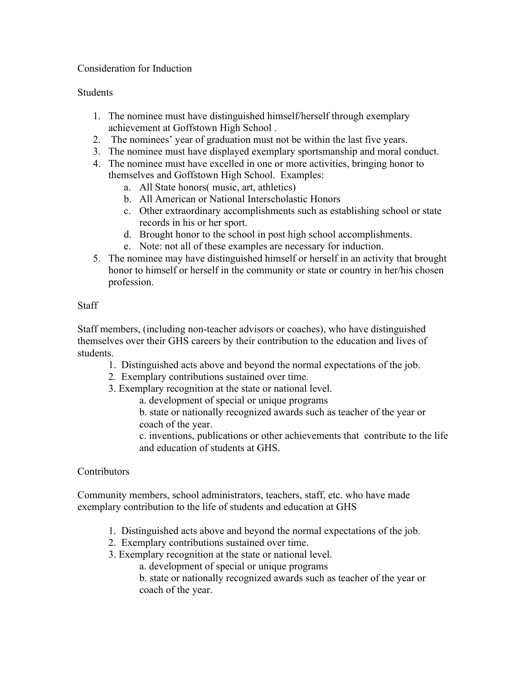## Consideration for Induction

## **Students**

- 1. The nominee must have distinguished himself/herself through exemplary achievement at Goffstown High School .
- 2. The nominees' year of graduation must not be within the last five years.
- 3. The nominee must have displayed exemplary sportsmanship and moral conduct.
- 4. The nominee must have excelled in one or more activities, bringing honor to themselves and Goffstown High School. Examples:
	- a. All State honors( music, art, athletics)
	- b. All American or National Interscholastic Honors
	- c. Other extraordinary accomplishments such as establishing school or state records in his or her sport.
	- d. Brought honor to the school in post high school accomplishments.
	- e. Note: not all of these examples are necessary for induction.
- 5. The nominee may have distinguished himself or herself in an activity that brought honor to himself or herself in the community or state or country in her/his chosen profession.

## **Staff**

Staff members, (including non-teacher advisors or coaches), who have distinguished themselves over their GHS careers by their contribution to the education and lives of students.

- 1. Distinguished acts above and beyond the normal expectations of the job.
- 2. Exemplary contributions sustained over time.
- 3. Exemplary recognition at the state or national level.

a. development of special or unique programs

b. state or nationally recognized awards such as teacher of the year or coach of the year.

c. inventions, publications or other achievements that contribute to the life and education of students at GHS.

## **Contributors**

Community members, school administrators, teachers, staff, etc. who have made exemplary contribution to the life of students and education at GHS

- 1. Distinguished acts above and beyond the normal expectations of the job.
- 2. Exemplary contributions sustained over time.
- 3. Exemplary recognition at the state or national level.
	- a. development of special or unique programs
	- b. state or nationally recognized awards such as teacher of the year or coach of the year.